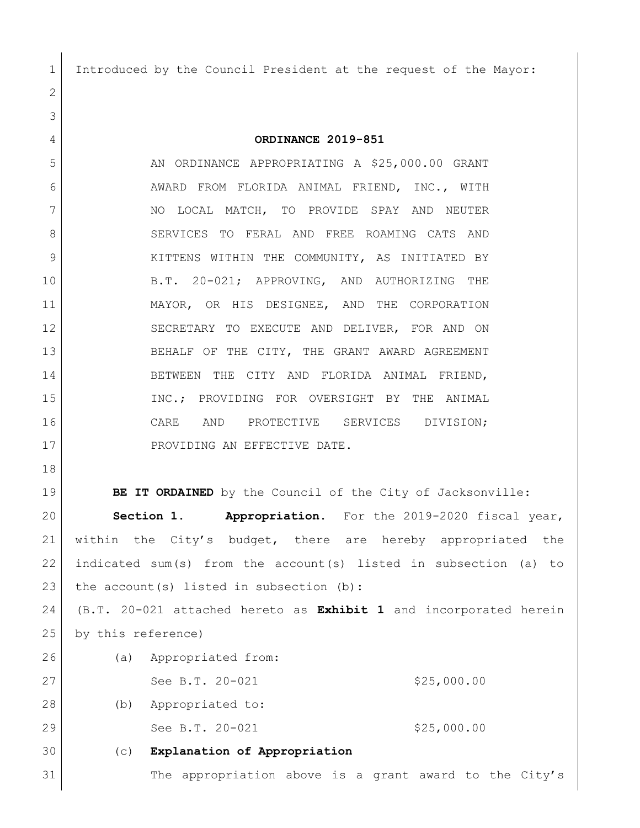Introduced by the Council President at the request of the Mayor:

**ORDINANCE 2019-851**

5 AN ORDINANCE APPROPRIATING A \$25,000.00 GRANT AWARD FROM FLORIDA ANIMAL FRIEND, INC., WITH 7 NO LOCAL MATCH, TO PROVIDE SPAY AND NEUTER 8 SERVICES TO FERAL AND FREE ROAMING CATS AND 9 KITTENS WITHIN THE COMMUNITY, AS INITIATED BY B.T. 20-021; APPROVING, AND AUTHORIZING THE MAYOR, OR HIS DESIGNEE, AND THE CORPORATION SECRETARY TO EXECUTE AND DELIVER, FOR AND ON BEHALF OF THE CITY, THE GRANT AWARD AGREEMENT BETWEEN THE CITY AND FLORIDA ANIMAL FRIEND, INC.; PROVIDING FOR OVERSIGHT BY THE ANIMAL CARE AND PROTECTIVE SERVICES DIVISION; 17 PROVIDING AN EFFECTIVE DATE.

**BE IT ORDAINED** by the Council of the City of Jacksonville: **Section 1. Appropriation.** For the 2019-2020 fiscal year, within the City's budget, there are hereby appropriated the indicated sum(s) from the account(s) listed in subsection (a) to 23 the account(s) listed in subsection (b):

 (B.T. 20-021 attached hereto as **Exhibit 1** and incorporated herein by this reference)

26 (a) Appropriated from: 27 See B.T. 20-021 \$25,000.00 (b) Appropriated to: 29 See B.T. 20-021 \$25,000.00 (c) **Explanation of Appropriation**

31 The appropriation above is a grant award to the City's